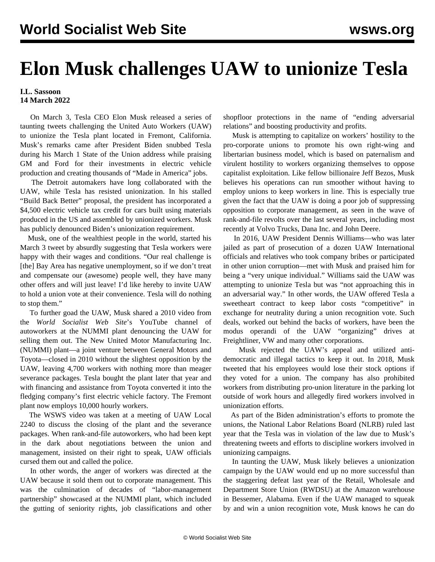## **Elon Musk challenges UAW to unionize Tesla**

## **I.L. Sassoon 14 March 2022**

 On March 3, Tesla CEO Elon Musk released a series of taunting tweets challenging the United Auto Workers (UAW) to unionize the Tesla plant located in Fremont, California. Musk's remarks came after President Biden snubbed Tesla during his March 1 State of the Union address while praising GM and Ford for their investments in electric vehicle production and creating thousands of "Made in America" jobs.

 The Detroit automakers have long collaborated with the UAW, while Tesla has resisted unionization. In his stalled "Build Back Better" proposal, the president has incorporated a \$4,500 electric vehicle tax credit for cars built using materials produced in the US and assembled by unionized workers. Musk has publicly denounced Biden's unionization requirement.

 Musk, one of the wealthiest people in the world, started his March 3 tweet by absurdly suggesting that Tesla workers were happy with their wages and conditions. "Our real challenge is [the] Bay Area has negative unemployment, so if we don't treat and compensate our (awesome) people well, they have many other offers and will just leave! I'd like hereby to invite UAW to hold a union vote at their convenience. Tesla will do nothing to stop them."

 To further goad the UAW, Musk shared a 2010 video from the *World Socialist Web Site*'s YouTube channel of [autoworkers at the NUMMI plant denouncing the UAW](https://youtu.be/S4DZ74IXh1U) for selling them out. The New United Motor Manufacturing Inc. (NUMMI) plant—a joint venture between General Motors and Toyota—closed in 2010 without the slightest opposition by the UAW, leaving 4,700 workers with nothing more than meager severance packages. Tesla bought the plant later that year and with financing and assistance from Toyota converted it into the fledging company's first electric vehicle factory. The Fremont plant now employs 10,000 hourly workers.

 The WSWS video was taken at a meeting of UAW Local 2240 to discuss the closing of the plant and the severance packages. When rank-and-file autoworkers, who had been kept in the dark about negotiations between the union and management, insisted on their right to speak, UAW officials cursed them out and called the police.

 In other words, the anger of workers was directed at the UAW because it sold them out to corporate management. This was the culmination of decades of "labor-management partnership" showcased at the NUMMI plant, which included the gutting of seniority rights, job classifications and other shopfloor protections in the name of "ending adversarial relations" and boosting productivity and profits.

 Musk is attempting to capitalize on workers' hostility to the pro-corporate unions to promote his own right-wing and libertarian business model, which is based on paternalism and virulent hostility to workers organizing themselves to oppose capitalist exploitation. Like fellow billionaire Jeff Bezos, Musk believes his operations can run smoother without having to employ unions to keep workers in line. This is especially true given the fact that the UAW is doing a poor job of suppressing opposition to corporate management, as seen in the wave of rank-and-file revolts over the last several years, including most recently at [Volvo Trucks](/en/articles/2021/07/12/pers-j12.html), [Dana](/en/articles/2021/09/02/dana-s02.html) Inc. and [John Deere](/en/articles/2021/11/20/deer-n20.html).

 In 2016, UAW President Dennis Williams—who was later jailed as part of prosecution of a dozen UAW International officials and relatives who took company bribes or participated in other union corruption—met with Musk and praised him for being a "very unique individual." Williams said the UAW was attempting to unionize Tesla but was "not approaching this in an adversarial way." In other words, the UAW offered Tesla a sweetheart contract to keep labor costs "competitive" in exchange for neutrality during a union recognition vote. Such deals, worked out behind the backs of workers, have been the modus operandi of the UAW "organizing" drives at [Freightliner,](/en/articles/2008/05/intr-m02.html) [VW](/en/articles/2016/06/28/uawv-j28.html) and many other corporations.

 Musk rejected the UAW's appeal and utilized antidemocratic and illegal tactics to keep it out. In 2018, Musk tweeted that his employees would lose their stock options if they voted for a union. The company has also prohibited workers from distributing pro-union literature in the parking lot outside of work hours and allegedly fired workers involved in unionization efforts.

 As part of the Biden administration's efforts to promote the unions, the National Labor Relations Board (NLRB) ruled last year that the Tesla was in violation of the law due to Musk's threatening tweets and efforts to discipline workers involved in unionizing campaigns.

 In taunting the UAW, Musk likely believes a unionization campaign by the UAW would end up no more successful than the staggering defeat last year of the Retail, Wholesale and Department Store Union (RWDSU) at the Amazon warehouse in Bessemer, Alabama. Even if the UAW managed to squeak by and win a union recognition vote, Musk knows he can do